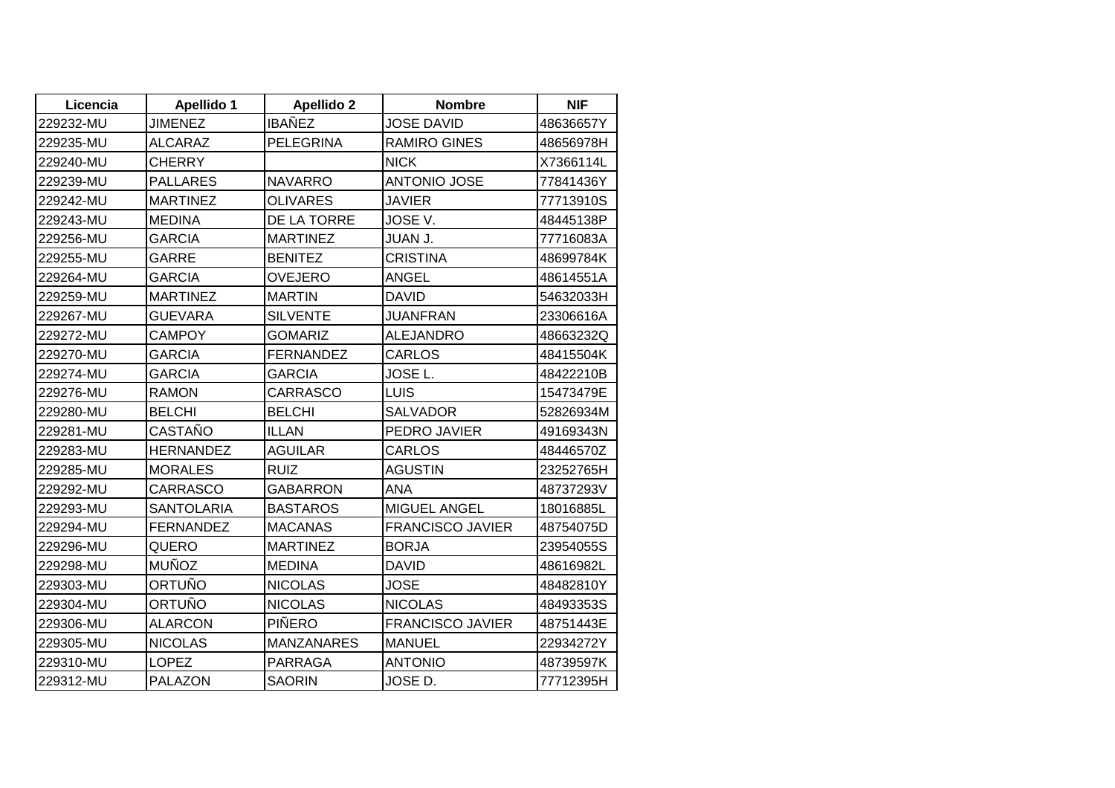| Licencia  | <b>Apellido 1</b> | <b>Apellido 2</b> | <b>Nombre</b>           | <b>NIF</b> |
|-----------|-------------------|-------------------|-------------------------|------------|
| 229232-MU | <b>JIMENEZ</b>    | <b>IBAÑEZ</b>     | JOSE DAVID              | 48636657Y  |
| 229235-MU | <b>ALCARAZ</b>    | <b>PELEGRINA</b>  | <b>RAMIRO GINES</b>     | 48656978H  |
| 229240-MU | <b>CHERRY</b>     |                   | <b>NICK</b>             | X7366114L  |
| 229239-MU | <b>PALLARES</b>   | <b>NAVARRO</b>    | <b>ANTONIO JOSE</b>     | 77841436Y  |
| 229242-MU | <b>MARTINEZ</b>   | <b>OLIVARES</b>   | <b>JAVIER</b>           | 77713910S  |
| 229243-MU | <b>MEDINA</b>     | DE LA TORRE       | JOSE V.                 | 48445138P  |
| 229256-MU | <b>GARCIA</b>     | <b>MARTINEZ</b>   | <b>JUAN J.</b>          | 77716083A  |
| 229255-MU | GARRE             | <b>BENITEZ</b>    | <b>CRISTINA</b>         | 48699784K  |
| 229264-MU | <b>GARCIA</b>     | <b>OVEJERO</b>    | <b>ANGEL</b>            | 48614551A  |
| 229259-MU | <b>MARTINEZ</b>   | <b>MARTIN</b>     | <b>DAVID</b>            | 54632033H  |
| 229267-MU | <b>GUEVARA</b>    | <b>SILVENTE</b>   | <b>JUANFRAN</b>         | 23306616A  |
| 229272-MU | <b>CAMPOY</b>     | <b>GOMARIZ</b>    | <b>ALEJANDRO</b>        | 48663232Q  |
| 229270-MU | <b>GARCIA</b>     | <b>FERNANDEZ</b>  | <b>CARLOS</b>           | 48415504K  |
| 229274-MU | GARCIA            | GARCIA            | JOSE L.                 | 48422210B  |
| 229276-MU | <b>RAMON</b>      | <b>CARRASCO</b>   | <b>LUIS</b>             | 15473479E  |
| 229280-MU | <b>BELCHI</b>     | <b>BELCHI</b>     | <b>SALVADOR</b>         | 52826934M  |
| 229281-MU | CASTAÑO           | <b>ILLAN</b>      | PEDRO JAVIER            | 49169343N  |
| 229283-MU | <b>HERNANDEZ</b>  | <b>AGUILAR</b>    | <b>CARLOS</b>           | 48446570Z  |
| 229285-MU | <b>MORALES</b>    | <b>RUIZ</b>       | <b>AGUSTIN</b>          | 23252765H  |
| 229292-MU | <b>CARRASCO</b>   | <b>GABARRON</b>   | <b>ANA</b>              | 48737293V  |
| 229293-MU | <b>SANTOLARIA</b> | <b>BASTAROS</b>   | <b>MIGUEL ANGEL</b>     | 18016885L  |
| 229294-MU | <b>FERNANDEZ</b>  | <b>MACANAS</b>    | <b>FRANCISCO JAVIER</b> | 48754075D  |
| 229296-MU | QUERO             | <b>MARTINEZ</b>   | <b>BORJA</b>            | 23954055S  |
| 229298-MU | <b>MUÑOZ</b>      | <b>MEDINA</b>     | <b>DAVID</b>            | 48616982L  |
| 229303-MU | ORTUÑO            | <b>NICOLAS</b>    | <b>JOSE</b>             | 48482810Y  |
| 229304-MU | ORTUÑO            | <b>NICOLAS</b>    | <b>NICOLAS</b>          | 48493353S  |
| 229306-MU | <b>ALARCON</b>    | <b>PIÑERO</b>     | <b>FRANCISCO JAVIER</b> | 48751443E  |
| 229305-MU | <b>NICOLAS</b>    | <b>MANZANARES</b> | <b>MANUEL</b>           | 22934272Y  |
| 229310-MU | <b>LOPEZ</b>      | <b>PARRAGA</b>    | <b>ANTONIO</b>          | 48739597K  |
| 229312-MU | <b>PALAZON</b>    | <b>SAORIN</b>     | JOSE D.                 | 77712395H  |